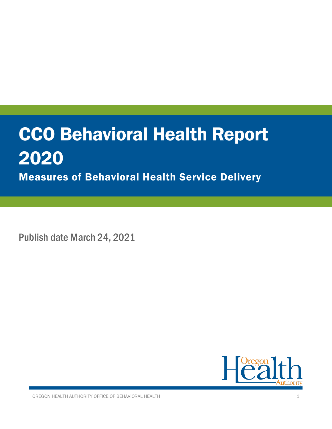# CCO Behavioral Health Report 2020

Measures of Behavioral Health Service Delivery

Publish date March 24, 2021

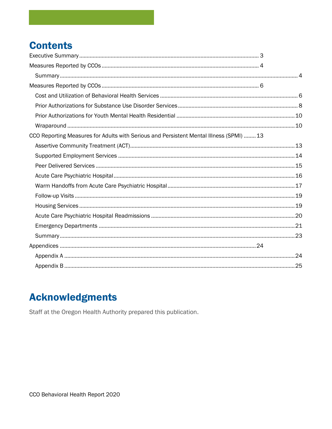# **Contents**

| CCO Reporting Measures for Adults with Serious and Persistent Mental Illness (SPMI)  13 |  |
|-----------------------------------------------------------------------------------------|--|
|                                                                                         |  |
|                                                                                         |  |
|                                                                                         |  |
|                                                                                         |  |
|                                                                                         |  |
|                                                                                         |  |
|                                                                                         |  |
|                                                                                         |  |
|                                                                                         |  |
|                                                                                         |  |
|                                                                                         |  |
|                                                                                         |  |
|                                                                                         |  |

# **Acknowledgments**

Staff at the Oregon Health Authority prepared this publication.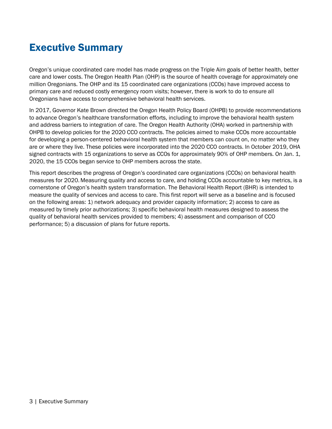# <span id="page-2-0"></span>Executive Summary

Oregon's unique coordinated care model has made progress on the Triple Aim goals of better health, better care and lower costs. The Oregon Health Plan (OHP) is the source of health coverage for approximately one million Oregonians. The OHP and its 15 coordinated care organizations (CCOs) have improved access to primary care and reduced costly emergency room visits; however, there is work to do to ensure all Oregonians have access to comprehensive behavioral health services.

In 2017, Governor Kate Brown directed the Oregon Health Policy Board (OHPB) to provide recommendations to advance Oregon's healthcare transformation efforts, including to improve the behavioral health system and address barriers to integration of care. The Oregon Health Authority (OHA) worked in partnership with OHPB to develop policies for the 2020 CCO contracts. The policies aimed to make CCOs more accountable for developing a person-centered behavioral health system that members can count on, no matter who they are or where they live. These policies were incorporated into the 2020 CCO contracts. In October 2019, OHA signed contracts with 15 organizations to serve as CCOs for approximately 90% of OHP members. On Jan. 1, 2020, the 15 CCOs began service to OHP members across the state.

This report describes the progress of Oregon's coordinated care organizations (CCOs) on behavioral health measures for 2020. Measuring quality and access to care, and holding CCOs accountable to key metrics, is a cornerstone of Oregon's health system transformation. The Behavioral Health Report (BHR) is intended to measure the quality of services and access to care. This first report will serve as a baseline and is focused on the following areas: 1) network adequacy and provider capacity information; 2) access to care as measured by timely prior authorizations; 3) specific behavioral health measures designed to assess the quality of behavioral health services provided to members; 4) assessment and comparison of CCO performance; 5) a discussion of plans for future reports.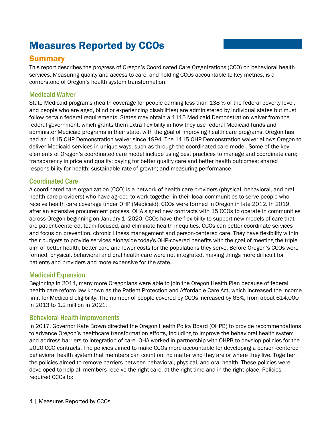# Measures Reported by CCOs

# <span id="page-3-1"></span><span id="page-3-0"></span>**Summary**

This report describes the progress of Oregon's Coordinated Care Organizations (CCO) on behavioral health services. Measuring quality and access to care, and holding CCOs accountable to key metrics, is a cornerstone of Oregon's health system transformation.

## Medicaid Waiver

State Medicaid programs (health coverage for people earning less than 138 % of the federal poverty level, and people who are aged, blind or experiencing disabilities) are administered by individual states but must follow certain federal requirements. States may obtain a 1115 Medicaid Demonstration waiver from the federal government, which grants them extra flexibility in how they use federal Medicaid funds and administer Medicaid programs in their state, with the goal of improving health care programs. Oregon has had an 1115 OHP Demonstration waiver since 1994. The 1115 OHP Demonstration waiver allows Oregon to deliver Medicaid services in unique ways, such as through the coordinated care model. Some of the key elements of Oregon's coordinated care model include using best practices to manage and coordinate care; transparency in price and quality; paying for better quality care and better health outcomes; shared responsibility for health; sustainable rate of growth; and measuring performance.

# Coordinated Care

A coordinated care organization (CCO) is a network of health care providers (physical, behavioral, and oral health care providers) who have agreed to work together in their local communities to serve people who receive health care coverage under OHP (Medicaid). CCOs were formed in Oregon in late 2012. In 2019, after an extensive procurement process, OHA signed new contracts with 15 CCOs to operate in communities across Oregon beginning on January 1, 2020. CCOs have the flexibility to support new models of care that are patient-centered, team-focused, and eliminate health inequities. CCOs can better coordinate services and focus on prevention, chronic illness management and person-centered care. They have flexibility within their budgets to provide services alongside today's OHP-covered benefits with the goal of meeting the triple aim of better health, better care and lower costs for the populations they serve. Before Oregon's CCOs were formed, physical, behavioral and oral health care were not integrated, making things more difficult for patients and providers and more expensive for the state.

# Medicaid Expansion

Beginning in 2014, many more Oregonians were able to join the Oregon Health Plan because of federal health care reform law known as the Patient Protection and Affordable Care Act, which increased the income limit for Medicaid eligibility. The number of people covered by CCOs increased by 63%, from about 614,000 in 2013 to 1.2 million in 2021.

# Behavioral Health Improvements

In 2017, Governor Kate Brown directed the Oregon Health Policy Board (OHPB) to provide recommendations to advance Oregon's healthcare transformation efforts, including to improve the behavioral health system and address barriers to integration of care. OHA worked in partnership with OHPB to develop policies for the 2020 CCO contracts. The policies aimed to make CCOs more accountable for developing a person-centered behavioral health system that members can count on, no matter who they are or where they live. Together, the policies aimed to remove barriers between behavioral, physical, and oral health. These policies were developed to help all members receive the right care, at the right time and in the right place. Policies required CCOs to: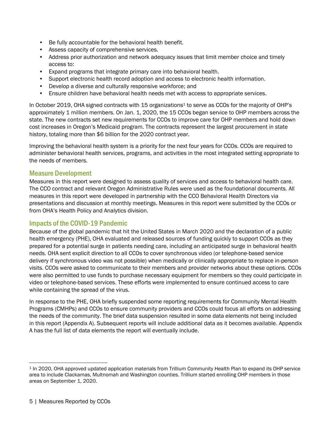- Be fully accountable for the behavioral health benefit.
- Assess capacity of comprehensive services.
- Address prior authorization and network adequacy issues that limit member choice and timely access to:
- Expand programs that integrate primary care into behavioral health.
- Support electronic health record adoption and access to electronic health information.
- Develop a diverse and culturally responsive workforce; and
- Ensure children have behavioral health needs met with access to appropriate services.

In October 2019, OHA signed contracts with 15 organizations<sup>1</sup> to serve as CCOs for the majority of OHP's approximately 1 million members. On Jan. 1, 2020, the 15 CCOs began service to OHP members across the state. The new contracts set new requirements for CCOs to improve care for OHP members and hold down cost increases in Oregon's Medicaid program. The contracts represent the largest procurement in state history, totaling more than \$6 billion for the 2020 contract year.

Improving the behavioral health system is a priority for the next four years for CCOs. CCOs are required to administer behavioral health services, programs, and activities in the most integrated setting appropriate to the needs of members.

#### Measure Development

Measures in this report were designed to assess quality of services and access to behavioral health care. The CCO contract and relevant Oregon Administrative Rules were used as the foundational documents. All measures in this report were developed in partnership with the CCO Behavioral Health Directors via presentations and discussion at monthly meetings. Measures in this report were submitted by the CCOs or from OHA's Health Policy and Analytics division.

#### Impacts of the COVID-19 Pandemic

Because of the global pandemic that hit the United States in March 2020 and the declaration of a public health emergency (PHE), OHA evaluated and released sources of funding quickly to support CCOs as they prepared for a potential surge in patients needing care, including an anticipated surge in behavioral health needs. OHA sent explicit direction to all CCOs to cover synchronous video (or telephone-based service delivery if synchronous video was not possible) when medically or clinically appropriate to replace in-person visits. CCOs were asked to communicate to their members and provider networks about these options. CCOs were also permitted to use funds to purchase necessary equipment for members so they could participate in video or telephone-based services. These efforts were implemented to ensure continued access to care while containing the spread of the virus.

In response to the PHE, OHA briefly suspended some reporting requirements for Community Mental Health Programs (CMHPs) and CCOs to ensure community providers and CCOs could focus all efforts on addressing the needs of the community. The brief data suspension resulted in some data elements not being included in this report (Appendix A). Subsequent reports will include additional data as it becomes available. Appendix A has the full list of data elements the report will eventually include.

<sup>1</sup> In 2020, OHA approved updated application materials from Trillium Community Health Plan to expand its OHP service area to include Clackamas, Multnomah and Washington counties. Trillium started enrolling OHP members in those areas on September 1, 2020.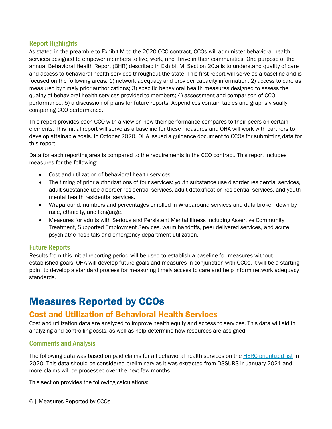## Report Highlights

As stated in the preamble to Exhibit M to the 2020 CCO contract, CCOs will administer behavioral health services designed to empower members to live, work, and thrive in their communities. One purpose of the annual Behavioral Health Report (BHR) described in Exhibit M, Section 20.a is to understand quality of care and access to behavioral health services throughout the state. This first report will serve as a baseline and is focused on the following areas: 1) network adequacy and provider capacity information; 2) access to care as measured by timely prior authorizations; 3) specific behavioral health measures designed to assess the quality of behavioral health services provided to members; 4) assessment and comparison of CCO performance; 5) a discussion of plans for future reports. Appendices contain tables and graphs visually comparing CCO performance.

This report provides each CCO with a view on how their performance compares to their peers on certain elements. This initial report will serve as a baseline for these measures and OHA will work with partners to develop attainable goals. In October 2020, OHA issued a guidance document to CCOs for submitting data for this report.

Data for each reporting area is compared to the requirements in the CCO contract. This report includes measures for the following:

- Cost and utilization of behavioral health services
- The timing of prior authorizations of four services: youth substance use disorder residential services, adult substance use disorder residential services, adult detoxification residential services, and youth mental health residential services.
- Wraparound: numbers and percentages enrolled in Wraparound services and data broken down by race, ethnicity, and language.
- Measures for adults with Serious and Persistent Mental Illness including Assertive Community Treatment, Supported Employment Services, warm handoffs, peer delivered services, and acute psychiatric hospitals and emergency department utilization.

## Future Reports

Results from this initial reporting period will be used to establish a baseline for measures without established goals. OHA will develop future goals and measures in conjunction with CCOs. It will be a starting point to develop a standard process for measuring timely access to care and help inform network adequacy standards.

# <span id="page-5-0"></span>Measures Reported by CCOs

# <span id="page-5-1"></span>Cost and Utilization of Behavioral Health Services

Cost and utilization data are analyzed to improve health equity and access to services. This data will aid in analyzing and controlling costs, as well as help determine how resources are assigned.

## Comments and Analysis

The following data was based on paid claims for all behavioral health services on the [HERC prioritized list](https://www.oregon.gov/oha/HPA/DSI-HERC/Pages/Prioritized-List-Archives.aspx) in 2020. This data should be considered preliminary as it was extracted from DSSURS in January 2021 and more claims will be processed over the next few months.

This section provides the following calculations: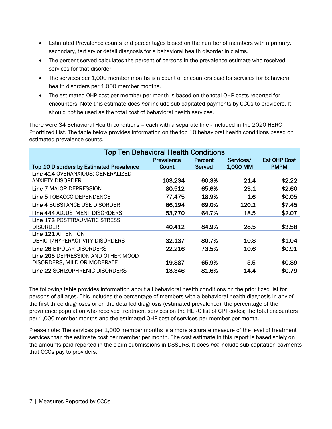- Estimated Prevalence counts and percentages based on the number of members with a primary, secondary, tertiary or detail diagnosis for a behavioral health disorder in claims.
- The percent served calculates the percent of persons in the prevalence estimate who received services for that disorder.
- The services per 1,000 member months is a count of encounters paid for services for behavioral health disorders per 1,000 member months.
- The estimated OHP cost per member per month is based on the total OHP costs reported for encounters. Note this estimate does *not* include sub-capitated payments by CCOs to providers. It should *not* be used as the total cost of behavioral health services.

There were 34 Behavioral Health conditions – each with a separate line - included in the 2020 HERC Prioritized List. The table below provides information on the top 10 behavioral health conditions based on estimated prevalence counts.

| <b>Top Ten Behavioral Health Conditions</b> |            |         |           |                     |  |
|---------------------------------------------|------------|---------|-----------|---------------------|--|
|                                             | Prevalence | Percent | Services/ | <b>Est OHP Cost</b> |  |
| Top 10 Disorders by Estimated Prevalence    | Count      | Served  | 1,000 MM  | <b>PMPM</b>         |  |
| Line 414 OVERANXIOUS; GENERALIZED           |            |         |           |                     |  |
| <b>ANXIETY DISORDER</b>                     | 103,234    | 60.3%   | 21.4      | \$2.22              |  |
| Line 7 MAJOR DEPRESSION                     | 80,512     | 65.6%   | 23.1      | \$2.60              |  |
| Line 5 TOBACCO DEPENDENCE                   | 77,475     | 18.9%   | 1.6       | \$0.05              |  |
| Line 4 SUBSTANCE USE DISORDER               | 66,194     | 69.0%   | 120.2     | \$7.45              |  |
| Line 444 ADJUSTMENT DISORDERS               | 53,770     | 64.7%   | 18.5      | \$2.07              |  |
| Line 173 POSTTRAUMATIC STRESS               |            |         |           |                     |  |
| <b>DISORDER</b>                             | 40,412     | 84.9%   | 28.5      | \$3.58              |  |
| Line 121 ATTENTION                          |            |         |           |                     |  |
| DEFICIT/HYPERACTIVITY DISORDERS             | 32,137     | 80.7%   | 10.8      | \$1.04              |  |
| Line 26 BIPOLAR DISORDERS                   | 22,216     | 73.5%   | 10.6      | \$0.91              |  |
| Line 203 DEPRESSION AND OTHER MOOD          |            |         |           |                     |  |
| DISORDERS, MILD OR MODERATE                 | 19,887     | 65.9%   | 5.5       | \$0.89              |  |
| Line 22 SCHIZOPHRENIC DISORDERS             | 13,346     | 81.6%   | 14.4      | \$0.79              |  |

The following table provides information about all behavioral health conditions on the prioritized list for persons of all ages. This includes the percentage of members with a behavioral health diagnosis in any of the first three diagnoses or on the detailed diagnosis (estimated prevalence); the percentage of the prevalence population who received treatment services on the HERC list of CPT codes; the total encounters per 1,000 member months and the estimated OHP cost of services per member per month.

Please note: The services per 1,000 member months is a more accurate measure of the level of treatment services than the estimate cost per member per month. The cost estimate in this report is based solely on the amounts paid reported in the claim submissions in DSSURS. It does *not* include sub-capitation payments that CCOs pay to providers.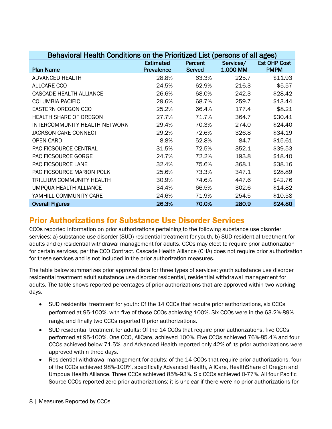| Behavioral Health Conditions on the Prioritized List (persons of all ages) |                                       |                          |                       |                                    |  |  |
|----------------------------------------------------------------------------|---------------------------------------|--------------------------|-----------------------|------------------------------------|--|--|
| <b>Plan Name</b>                                                           | <b>Estimated</b><br><b>Prevalence</b> | Percent<br><b>Served</b> | Services/<br>1,000 MM | <b>Est OHP Cost</b><br><b>PMPM</b> |  |  |
| ADVANCED HEALTH                                                            | 28.8%                                 | 63.3%                    | 225.7                 | \$11.93                            |  |  |
| ALLCARE CCO                                                                | 24.5%                                 | 62.9%                    | 216.3                 | \$5.57                             |  |  |
| <b>CASCADE HEALTH ALLIANCE</b>                                             | 26.6%                                 | 68.0%                    | 242.3                 | \$28.42                            |  |  |
| <b>COLUMBIA PACIFIC</b>                                                    | 29.6%                                 | 68.7%                    | 259.7                 | \$13.44                            |  |  |
| <b>EASTERN OREGON CCO</b>                                                  | 25.2%                                 | 66.4%                    | 177.4                 | \$8.21                             |  |  |
| <b>HEALTH SHARE OF OREGON</b>                                              | 27.7%                                 | 71.7%                    | 364.7                 | \$30.41                            |  |  |
| INTERCOMMUNITY HEALTH NETWORK                                              | 29.4%                                 | 70.3%                    | 274.0                 | \$24.40                            |  |  |
| <b>JACKSON CARE CONNECT</b>                                                | 29.2%                                 | 72.6%                    | 326.8                 | \$34.19                            |  |  |
| OPEN-CARD                                                                  | 8.8%                                  | 52.8%                    | 84.7                  | \$15.61                            |  |  |
| PACIFICSOURCE CENTRAL                                                      | 31.5%                                 | 72.5%                    | 352.1                 | \$39.53                            |  |  |
| PACIFICSOURCE GORGE                                                        | 24.7%                                 | 72.2%                    | 193.8                 | \$18.40                            |  |  |
| PACIFICSOURCE LANE                                                         | 32.4%                                 | 75.6%                    | 368.1                 | \$38.16                            |  |  |
| PACIFICSOURCE MARION POLK                                                  | 25.6%                                 | 73.3%                    | 347.1                 | \$28.89                            |  |  |
| TRILLIUM COMMUNITY HEALTH                                                  | 30.9%                                 | 74.6%                    | 447.6                 | \$42.76                            |  |  |
| UMPQUA HEALTH ALLIANCE                                                     | 34.4%                                 | 66.5%                    | 302.6                 | \$14.82                            |  |  |
| YAMHILL COMMUNITY CARE                                                     | 24.6%                                 | 71.9%                    | 254.5                 | \$10.58                            |  |  |
| <b>Overall Figures</b>                                                     | 26.3%                                 | 70.0%                    | 280.9                 | \$24.80                            |  |  |

# <span id="page-7-0"></span>Prior Authorizations for Substance Use Disorder Services

CCOs reported information on prior authorizations pertaining to the following substance use disorder services: a) substance use disorder (SUD) residential treatment for youth, b) SUD residential treatment for adults and c) residential withdrawal management for adults. CCOs may elect to require prior authorization for certain services, per the CCO Contract. Cascade Health Alliance (CHA) does not require prior authorization for these services and is not included in the prior authorization measures.

The table below summarizes prior approval data for three types of services: youth substance use disorder residential treatment adult substance use disorder residential, residential withdrawal management for adults. The table shows reported percentages of prior authorizations that are approved within two working days.

- SUD residential treatment for youth: Of the 14 CCOs that require prior authorizations, six CCOs performed at 95-100%, with five of those CCOs achieving 100%. Six CCOs were in the 63.2%-89% range, and finally two CCOs reported 0 prior authorizations.
- SUD residential treatment for adults: Of the 14 CCOs that require prior authorizations, five CCOs performed at 95-100%. One CCO, AllCare, achieved 100%. Five CCOs achieved 76%-85.4% and four CCOs achieved below 71.5%, and Advanced Health reported only 42% of its prior authorizations were approved within three days.
- Residential withdrawal management for adults: of the 14 CCOs that require prior authorizations, four of the CCOs achieved 98%-100%, specifically Advanced Health, AllCare, HealthShare of Oregon and Umpqua Health Alliance. Three CCOs achieved 85%-93%. Six CCOs achieved 0-77%. All four Pacific Source CCOs reported zero prior authorizations; it is unclear if there were no prior authorizations for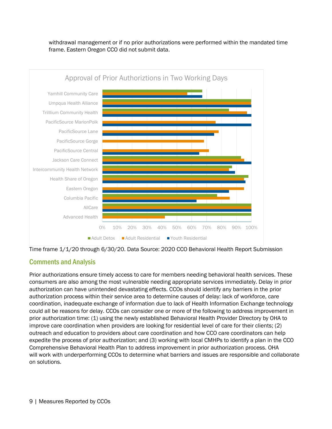withdrawal management or if no prior authorizations were performed within the mandated time frame. Eastern Oregon CCO did not submit data.





# Comments and Analysis

Prior authorizations ensure timely access to care for members needing behavioral health services. These consumers are also among the most vulnerable needing appropriate services immediately. Delay in prior authorization can have unintended devastating effects. CCOs should identify any barriers in the prior authorization process within their service area to determine causes of delay: lack of workforce, care coordination, inadequate exchange of information due to lack of Health Information Exchange technology could all be reasons for delay. CCOs can consider one or more of the following to address improvement in prior authorization time: (1) using the newly established Behavioral Health Provider Directory by OHA to improve care coordination when providers are looking for residential level of care for their clients; (2) outreach and education to providers about care coordination and how CCO care coordinators can help expedite the process of prior authorization; and (3) working with local CMHPs to identify a plan in the CCO Comprehensive Behavioral Health Plan to address improvement in prior authorization process. OHA will work with underperforming CCOs to determine what barriers and issues are responsible and collaborate on solutions.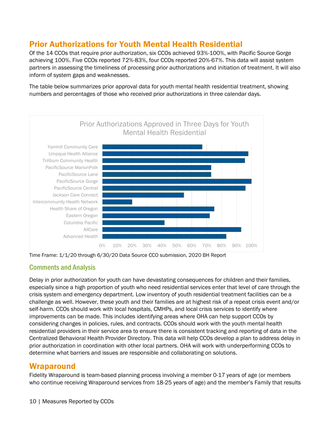# <span id="page-9-0"></span>Prior Authorizations for Youth Mental Health Residential

Of the 14 CCOs that require prior authorization, six CCOs achieved 93%-100%, with Pacific Source Gorge achieving 100%. Five CCOs reported 72%-83%, four CCOs reported 20%-67%. This data will assist system partners in assessing the timeliness of processing prior authorizations and initiation of treatment. It will also inform of system gaps and weaknesses.

The table below summarizes prior approval data for youth mental health residential treatment, showing numbers and percentages of those who received prior authorizations in three calendar days.



Time Frame: 1/1/20 through 6/30/20 Data Source CCO submission, 2020 BH Report

## Comments and Analysis

Delay in prior authorization for youth can have devastating consequences for children and their families, especially since a high proportion of youth who need residential services enter that level of care through the crisis system and emergency department. Low inventory of youth residential treatment facilities can be a challenge as well. However, these youth and their families are at highest risk of a repeat crisis event and/or self-harm. CCOs should work with local hospitals, CMHPs, and local crisis services to identify where improvements can be made. This includes identifying areas where OHA can help support CCOs by considering changes in policies, rules, and contracts. CCOs should work with the youth mental health residential providers in their service area to ensure there is consistent tracking and reporting of data in the Centralized Behavioral Health Provider Directory. This data will help CCOs develop a plan to address delay in prior authorization in coordination with other local partners. OHA will work with underperforming CCOs to determine what barriers and issues are responsible and collaborating on solutions.

# <span id="page-9-1"></span>**Wraparound**

Fidelity Wraparound is team-based planning process involving a member 0-17 years of age (or members who continue receiving Wraparound services from 18-25 years of age) and the member's Family that results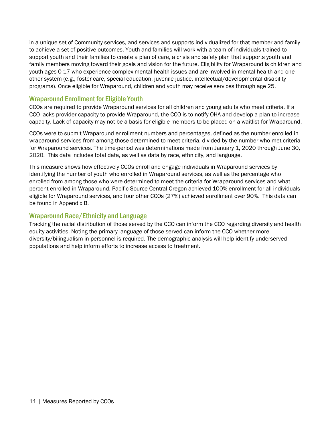in a unique set of Community services, and services and supports individualized for that member and family to achieve a set of positive outcomes. Youth and families will work with a team of individuals trained to support youth and their families to create a plan of care, a crisis and safety plan that supports youth and family members moving toward their goals and vision for the future. Eligibility for Wraparound is children and youth ages 0-17 who experience complex mental health issues and are involved in mental health and one other system (e.g., foster care, special education, juvenile justice, intellectual/developmental disability programs). Once eligible for Wraparound, children and youth may receive services through age 25.

## Wraparound Enrollment for Eligible Youth

CCOs are required to provide Wraparound services for all children and young adults who meet criteria. If a CCO lacks provider capacity to provide Wraparound, the CCO is to notify OHA and develop a plan to increase capacity. Lack of capacity may not be a basis for eligible members to be placed on a waitlist for Wraparound.

CCOs were to submit Wraparound enrollment numbers and percentages, defined as the number enrolled in wraparound services from among those determined to meet criteria, divided by the number who met criteria for Wraparound services. The time-period was determinations made from January 1, 2020 through June 30, 2020. This data includes total data, as well as data by race, ethnicity, and language.

This measure shows how effectively CCOs enroll and engage individuals in Wraparound services by identifying the number of youth who enrolled in Wraparound services, as well as the percentage who enrolled from among those who were determined to meet the criteria for Wraparound services and what percent enrolled in Wraparound. Pacific Source Central Oregon achieved 100% enrollment for all individuals eligible for Wraparound services, and four other CCOs (27%) achieved enrollment over 90%. This data can be found in Appendix B.

## Wraparound Race/Ethnicity and Language

Tracking the racial distribution of those served by the CCO can inform the CCO regarding diversity and health equity activities. Noting the primary language of those served can inform the CCO whether more diversity/bilingualism in personnel is required. The demographic analysis will help identify underserved populations and help inform efforts to increase access to treatment.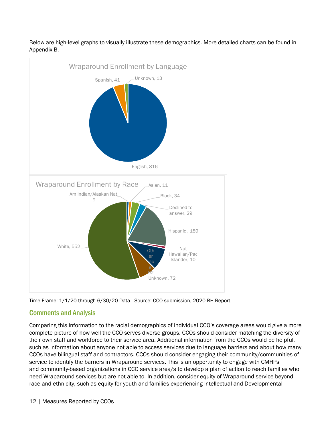Below are high-level graphs to visually illustrate these demographics. More detailed charts can be found in Appendix B.



Time Frame: 1/1/20 through 6/30/20 Data. Source: CCO submission, 2020 BH Report

## Comments and Analysis

Comparing this information to the racial demographics of individual CCO's coverage areas would give a more complete picture of how well the CCO serves diverse groups. CCOs should consider matching the diversity of their own staff and workforce to their service area. Additional information from the CCOs would be helpful, such as information about anyone not able to access services due to language barriers and about how many CCOs have bilingual staff and contractors. CCOs should consider engaging their community/communities of service to identify the barriers in Wraparound services. This is an opportunity to engage with CMHPs and community-based organizations in CCO service area/s to develop a plan of action to reach families who need Wraparound services but are not able to. In addition, consider equity of Wraparound service beyond race and ethnicity, such as equity for youth and families experiencing Intellectual and Developmental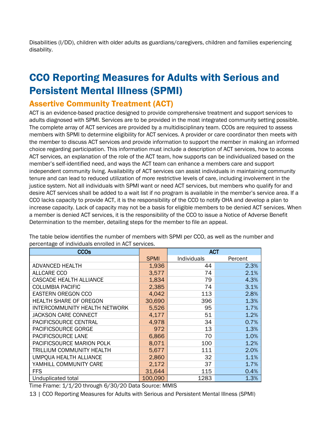Disabilities (I/DD), children with older adults as guardians/caregivers, children and families experiencing disability.

# <span id="page-12-0"></span>CCO Reporting Measures for Adults with Serious and Persistent Mental Illness (SPMI)

# <span id="page-12-1"></span>Assertive Community Treatment (ACT)

ACT is an evidence-based practice designed to provide comprehensive treatment and support services to adults diagnosed with SPMI. Services are to be provided in the most integrated community setting possible. The complete array of ACT services are provided by a multidisciplinary team. CCOs are required to assess members with SPMI to determine eligibility for ACT services. A provider or care coordinator then meets with the member to discuss ACT services and provide information to support the member in making an informed choice regarding participation. This information must include a description of ACT services, how to access ACT services, an explanation of the role of the ACT team, how supports can be individualized based on the member's self-identified need, and ways the ACT team can enhance a members care and support independent community living. Availability of ACT services can assist individuals in maintaining community tenure and can lead to reduced utilization of more restrictive levels of care, including involvement in the justice system. Not all individuals with SPMI want or need ACT services, but members who qualify for and desire ACT services shall be added to a wait list if no program is available in the member's service area. If a CCO lacks capacity to provide ACT, it is the responsibility of the CCO to notify OHA and develop a plan to increase capacity. Lack of capacity may not be a basis for eligible members to be denied ACT services. When a member is denied ACT services, it is the responsibility of the CCO to issue a Notice of Adverse Benefit Determination to the member, detailing steps for the member to file an appeal.

| <b>CCO<sub>s</sub></b>               |             | <b>ACT</b>  |         |  |  |
|--------------------------------------|-------------|-------------|---------|--|--|
|                                      | <b>SPMI</b> | Individuals | Percent |  |  |
| <b>ADVANCED HEALTH</b>               | 1,936       | 44          | 2.3%    |  |  |
| <b>ALLCARE CCO</b>                   | 3,577       | 74          | 2.1%    |  |  |
| <b>CASCADE HEALTH ALLIANCE</b>       | 1,834       | 79          | 4.3%    |  |  |
| <b>COLUMBIA PACIFIC</b>              | 2,385       | 74          | 3.1%    |  |  |
| <b>EASTERN OREGON CCO</b>            | 4,042       | 113         | 2.8%    |  |  |
| <b>HEALTH SHARE OF OREGON</b>        | 30,690      | 396         | 1.3%    |  |  |
| <b>INTERCOMMUNITY HEALTH NETWORK</b> | 5,526       | 95          | 1.7%    |  |  |
| <b>JACKSON CARE CONNECT</b>          | 4,177       | 51          | 1.2%    |  |  |
| PACIFICSOURCE CENTRAL                | 4,978       | 34          | 0.7%    |  |  |
| <b>PACIFICSOURCE GORGE</b>           | 972         | 13          | 1.3%    |  |  |
| PACIFICSOURCE LANE                   | 6,866       | 70          | 1.0%    |  |  |
| PACIFICSOURCE MARION POLK            | 8,071       | 100         | 1.2%    |  |  |
| TRILLIUM COMMUNITY HEALTH            | 5,677       | 111         | 2.0%    |  |  |
| UMPQUA HEALTH ALLIANCE               | 2,860       | 32          | 1.1%    |  |  |
| YAMHILL COMMUNITY CARE               | 2,172       | 37          | 1.7%    |  |  |
| <b>FFS</b>                           | 31,644      | 115         | 0.4%    |  |  |
| Unduplicated total                   | 100,090     | 1283        | 1.3%    |  |  |

The table below identifies the number of members with SPMI per CCO, as well as the number and percentage of individuals enrolled in ACT services.

Time Frame: 1/1/20 through 6/30/20 Data Source: MMIS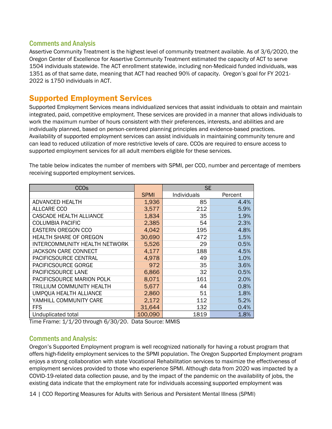#### Comments and Analysis

Assertive Community Treatment is the highest level of community treatment available. As of 3/6/2020, the Oregon Center of Excellence for Assertive Community Treatment estimated the capacity of ACT to serve 1504 individuals statewide. The ACT enrollment statewide, including non-Medicaid funded individuals, was 1351 as of that same date, meaning that ACT had reached 90% of capacity. Oregon's goal for FY 2021- 2022 is 1750 individuals in ACT.

# <span id="page-13-0"></span>Supported Employment Services

Supported Employment Services means individualized services that assist individuals to obtain and maintain integrated, paid, competitive employment. These services are provided in a manner that allows individuals to work the maximum number of hours consistent with their preferences, interests, and abilities and are individually planned, based on person-centered planning principles and evidence-based practices. Availability of supported employment services can assist individuals in maintaining community tenure and can lead to reduced utilization of more restrictive levels of care. CCOs are required to ensure access to supported employment services for all adult members eligible for these services.

The table below indicates the number of members with SPMI, per CCO, number and percentage of members receiving supported employment services.

| <b>CCO<sub>S</sub></b>        |             | <b>SE</b>   |         |  |  |
|-------------------------------|-------------|-------------|---------|--|--|
|                               | <b>SPMI</b> | Individuals | Percent |  |  |
| <b>ADVANCED HEALTH</b>        | 1,936       | 85          | 4.4%    |  |  |
| <b>ALLCARE CCO</b>            | 3,577       | 212         | 5.9%    |  |  |
| CASCADE HEALTH ALLIANCE       | 1,834       | 35          | 1.9%    |  |  |
| <b>COLUMBIA PACIFIC</b>       | 2,385       | 54          | 2.3%    |  |  |
| <b>EASTERN OREGON CCO</b>     | 4,042       | 195         | 4.8%    |  |  |
| <b>HEALTH SHARE OF OREGON</b> | 30,690      | 472         | 1.5%    |  |  |
| INTERCOMMUNITY HEALTH NETWORK | 5,526       | 29          | 0.5%    |  |  |
| <b>JACKSON CARE CONNECT</b>   | 4,177       | 188         | 4.5%    |  |  |
| PACIFICSOURCE CENTRAL         | 4,978       | 49          | 1.0%    |  |  |
| <b>PACIFICSOURCE GORGE</b>    | 972         | 35          | 3.6%    |  |  |
| PACIFICSOURCE LANE            | 6,866       | 32          | 0.5%    |  |  |
| PACIFICSOURCE MARION POLK     | 8,071       | 161         | 2.0%    |  |  |
| TRILLIUM COMMUNITY HEALTH     | 5,677       | 44          | 0.8%    |  |  |
| UMPQUA HEALTH ALLIANCE        | 2,860       | 51          | 1.8%    |  |  |
| YAMHILL COMMUNITY CARE        | 2,172       | 112         | 5.2%    |  |  |
| <b>FFS</b>                    | 31,644      | 132         | 0.4%    |  |  |
| Unduplicated total            | 100,090     | 1819        | 1.8%    |  |  |

Time Frame: 1/1/20 through 6/30/20. Data Source: MMIS

#### Comments and Analysis:

Oregon's Supported Employment program is well recognized nationally for having a robust program that offers high-fidelity employment services to the SPMI population. The Oregon Supported Employment program enjoys a strong collaboration with state Vocational Rehabilitation services to maximize the effectiveness of employment services provided to those who experience SPMI. Although data from 2020 was impacted by a COVID-19-related data collection pause, and by the impact of the pandemic on the availability of jobs, the existing data indicate that the employment rate for individuals accessing supported employment was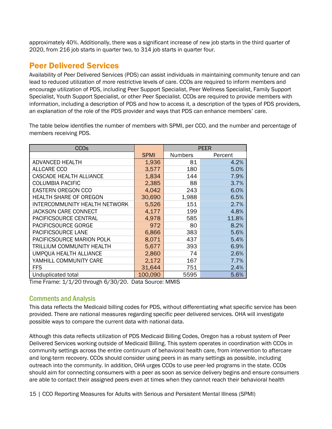approximately 40%. Additionally, there was a significant increase of new job starts in the third quarter of 2020, from 216 job starts in quarter two, to 314 job starts in quarter four.

# <span id="page-14-0"></span>Peer Delivered Services

Availability of Peer Delivered Services (PDS) can assist individuals in maintaining community tenure and can lead to reduced utilization of more restrictive levels of care. CCOs are required to inform members and encourage utilization of PDS, including Peer Support Specialist, Peer Wellness Specialist, Family Support Specialist, Youth Support Specialist, or other Peer Specialist. CCOs are required to provide members with information, including a description of PDS and how to access it, a description of the types of PDS providers, an explanation of the role of the PDS provider and ways that PDS can enhance members' care.

The table below identifies the number of members with SPMI, per CCO, and the number and percentage of members receiving PDS.

| CCO <sub>S</sub>                     |             | <b>PEER</b>    |         |  |  |
|--------------------------------------|-------------|----------------|---------|--|--|
|                                      | <b>SPMI</b> | <b>Numbers</b> | Percent |  |  |
| <b>ADVANCED HEALTH</b>               | 1,936       | 81             | 4.2%    |  |  |
| ALLCARE CCO                          | 3,577       | 180            | 5.0%    |  |  |
| <b>CASCADE HEALTH ALLIANCE</b>       | 1,834       | 144            | 7.9%    |  |  |
| <b>COLUMBIA PACIFIC</b>              | 2,385       | 88             | 3.7%    |  |  |
| <b>EASTERN OREGON CCO</b>            | 4,042       | 243            | 6.0%    |  |  |
| HEALTH SHARE OF OREGON               | 30,690      | 1,988          | 6.5%    |  |  |
| <b>INTERCOMMUNITY HEALTH NETWORK</b> | 5,526       | 151            | 2.7%    |  |  |
| <b>JACKSON CARE CONNECT</b>          | 4,177       | 199            | 4.8%    |  |  |
| PACIFICSOURCE CENTRAL                | 4,978       | 585            | 11.8%   |  |  |
| <b>PACIFICSOURCE GORGE</b>           | 972         | 80             | 8.2%    |  |  |
| PACIFICSOURCE LANE                   | 6,866       | 383            | 5.6%    |  |  |
| PACIFICSOURCE MARION POLK            | 8,071       | 437            | 5.4%    |  |  |
| TRILLIUM COMMUNITY HEALTH            | 5,677       | 393            | 6.9%    |  |  |
| UMPQUA HEALTH ALLIANCE               | 2,860       | 74             | 2.6%    |  |  |
| YAMHILL COMMUNITY CARE               | 2,172       | 167            | 7.7%    |  |  |
| <b>FFS</b>                           | 31,644      | 751            | 2.4%    |  |  |
| Unduplicated total                   | 100,090     | 5595           | 5.6%    |  |  |

Time Frame: 1/1/20 through 6/30/20. Data Source: MMIS

#### Comments and Analysis

This data reflects the Medicaid billing codes for PDS, without differentiating what specific service has been provided. There are national measures regarding specific peer delivered services. OHA will investigate possible ways to compare the current data with national data.

Although this data reflects utilization of PDS Medicaid Billing Codes, Oregon has a robust system of Peer Delivered Services working outside of Medicaid Billing. This system operates in coordination with CCOs in community settings across the entire continuum of behavioral health care, from intervention to aftercare and long-term recovery. CCOs should consider using peers in as many settings as possible, including outreach into the community. In addition, OHA urges CCOs to use peer-led programs in the state. CCOs should aim for connecting consumers with a peer as soon as service delivery begins and ensure consumers are able to contact their assigned peers even at times when they cannot reach their behavioral health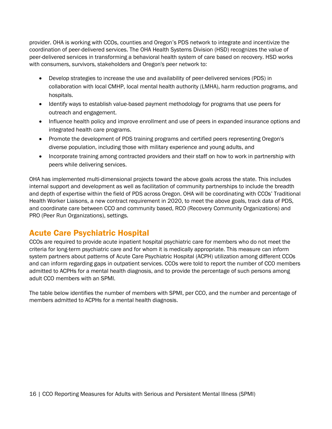provider. OHA is working with CCOs, counties and Oregon's PDS network to integrate and incentivize the coordination of peer-delivered services. The OHA Health Systems Division (HSD) recognizes the value of peer-delivered services in transforming a behavioral health system of care based on recovery. HSD works with consumers, survivors, stakeholders and Oregon's peer network to:

- Develop strategies to increase the use and availability of peer-delivered services (PDS) in collaboration with local CMHP, local mental health authority (LMHA), harm reduction programs, and hospitals.
- Identify ways to establish value-based payment methodology for programs that use peers for outreach and engagement.
- Influence health policy and improve enrollment and use of peers in expanded insurance options and integrated health care programs.
- Promote the development of PDS training programs and certified peers representing Oregon's diverse population, including those with military experience and young adults, and
- Incorporate training among contracted providers and their staff on how to work in partnership with peers while delivering services.

OHA has implemented multi-dimensional projects toward the above goals across the state. This includes internal support and development as well as facilitation of community partnerships to include the breadth and depth of expertise within the field of PDS across Oregon. OHA will be coordinating with CCOs' Traditional Health Worker Liaisons, a new contract requirement in 2020, to meet the above goals, track data of PDS, and coordinate care between CCO and community based, RCO (Recovery Community Organizations) and PRO (Peer Run Organizations), settings.

# <span id="page-15-0"></span>Acute Care Psychiatric Hospital

CCOs are required to provide acute inpatient hospital psychiatric care for members who do not meet the criteria for long-term psychiatric care and for whom it is medically appropriate. This measure can inform system partners about patterns of Acute Care Psychiatric Hospital (ACPH) utilization among different CCOs and can inform regarding gaps in outpatient services. CCOs were told to report the number of CCO members admitted to ACPHs for a mental health diagnosis, and to provide the percentage of such persons among adult CCO members with an SPMI.

The table below identifies the number of members with SPMI, per CCO, and the number and percentage of members admitted to ACPHs for a mental health diagnosis.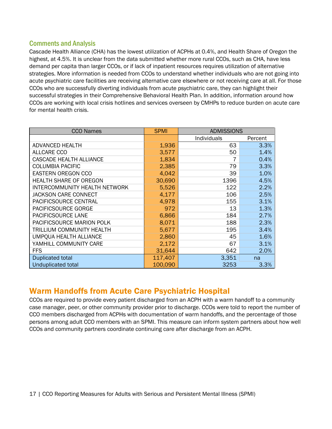#### Comments and Analysis

Cascade Health Alliance (CHA) has the lowest utilization of ACPHs at 0.4%, and Health Share of Oregon the highest, at 4.5%. It is unclear from the data submitted whether more rural CCOs, such as CHA, have less demand per capita than larger CCOs, or if lack of inpatient resources requires utilization of alternative strategies. More information is needed from CCOs to understand whether individuals who are not going into acute psychiatric care facilities are receiving alternative care elsewhere or not receiving care at all. For those CCOs who are successfully diverting individuals from acute psychiatric care, they can highlight their successful strategies in their Comprehensive Behavioral Health Plan. In addition, information around how CCOs are working with local crisis hotlines and services overseen by CMHPs to reduce burden on acute care for mental health crisis.

| <b>CCO Names</b>               | <b>SPMI</b> | <b>ADMISSIONS</b> |         |  |
|--------------------------------|-------------|-------------------|---------|--|
|                                |             | Individuals       | Percent |  |
| <b>ADVANCED HEALTH</b>         | 1,936       | 63                | 3.3%    |  |
| <b>ALLCARE CCO</b>             | 3,577       | 50                | 1.4%    |  |
| <b>CASCADE HEALTH ALLIANCE</b> | 1,834       | 7                 | 0.4%    |  |
| <b>COLUMBIA PACIFIC</b>        | 2,385       | 79                | 3.3%    |  |
| <b>EASTERN OREGON CCO</b>      | 4,042       | 39                | 1.0%    |  |
| <b>HEALTH SHARE OF OREGON</b>  | 30,690      | 1396              | 4.5%    |  |
| INTERCOMMUNITY HEALTH NETWORK  | 5,526       | 122               | 2.2%    |  |
| <b>JACKSON CARE CONNECT</b>    | 4,177       | 106               | 2.5%    |  |
| PACIFICSOURCE CENTRAL          | 4,978       | 155               | 3.1%    |  |
| PACIFICSOURCE GORGE            | 972         | 13                | 1.3%    |  |
| PACIFICSOURCE LANE             | 6,866       | 184               | 2.7%    |  |
| PACIFICSOURCE MARION POLK      | 8,071       | 188               | 2.3%    |  |
| TRILLIUM COMMUNITY HEALTH      | 5,677       | 195               | 3.4%    |  |
| <b>UMPOUA HEALTH ALLIANCE</b>  | 2,860       | 45                | 1.6%    |  |
| YAMHILL COMMUNITY CARE         | 2,172       | 67                | 3.1%    |  |
| <b>FFS</b>                     | 31,644      | 642               | 2.0%    |  |
| <b>Duplicated total</b>        | 117,407     | 3,351             | na      |  |
| <b>Unduplicated total</b>      | 100,090     | 3253              | 3.3%    |  |

# <span id="page-16-0"></span>Warm Handoffs from Acute Care Psychiatric Hospital

CCOs are required to provide every patient discharged from an ACPH with a warm handoff to a community case manager, peer, or other community provider prior to discharge. CCOs were told to report the number of CCO members discharged from ACPHs with documentation of warm handoffs, and the percentage of those persons among adult CCO members with an SPMI. This measure can inform system partners about how well CCOs and community partners coordinate continuing care after discharge from an ACPH.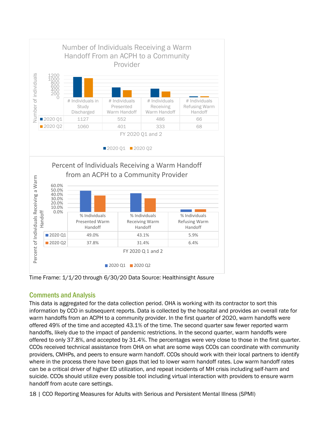

Time Frame: 1/1/20 through 6/30/20 Data Source: Healthinsight Assure

## Comments and Analysis

This data is aggregated for the data collection period. OHA is working with its contractor to sort this information by CCO in subsequent reports. Data is collected by the hospital and provides an overall rate for warm handoffs from an ACPH to a community provider. In the first quarter of 2020, warm handoffs were offered 49% of the time and accepted 43.1% of the time. The second quarter saw fewer reported warm handoffs, likely due to the impact of pandemic restrictions. In the second quarter, warm handoffs were offered to only 37.8%, and accepted by 31.4%. The percentages were very close to those in the first quarter. CCOs received technical assistance from OHA on what are some ways CCOs can coordinate with community providers, CMHPs, and peers to ensure warm handoff. CCOs should work with their local partners to identify where in the process there have been gaps that led to lower warm handoff rates. Low warm handoff rates can be a critical driver of higher ED utilization, and repeat incidents of MH crisis including self-harm and suicide. CCOs should utilize every possible tool including virtual interaction with providers to ensure warm handoff from acute care settings.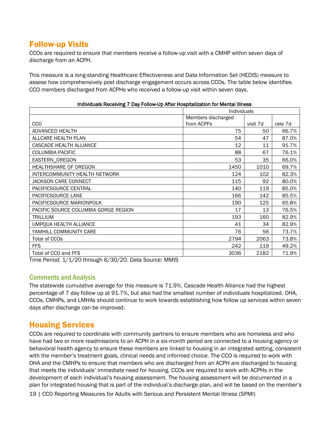# <span id="page-18-0"></span>Follow-up Visits

CCOs are required to ensure that members receive a follow-up visit with a CMHP within seven days of discharge from an ACPH.

This measure is a long-standing Healthcare Effectiveness and Data Information Set (HEDIS) measure to assess how comprehensively post discharge engagement occurs across CCOs. The table below identifies CCO members discharged from ACPHs who received a follow-up visit within seven days.

|                                      | Individuals        |          |         |  |
|--------------------------------------|--------------------|----------|---------|--|
|                                      | Members discharged |          |         |  |
| <b>CCO</b>                           | from ACPFs         | visit 7d | rate 7d |  |
| <b>ADVANCED HEALTH</b>               | 75                 | 50       | 66.7%   |  |
| ALLCARE HEALTH PLAN                  | 54                 | 47       | 87.0%   |  |
| CASCADE HEALTH ALLIANCE              | 12                 | 11       | 91.7%   |  |
| <b>COLUMBIA PACIFIC</b>              | 88                 | 67       | 76.1%   |  |
| EASTERN_OREGON                       | 53                 | 35       | 66.0%   |  |
| HEALTHSHARE OF OREGON                | 1450               | 1010     | 69.7%   |  |
| INTERCOMMUNITY HEALTH NETWORK        | 124                | 102      | 82.3%   |  |
| JACKSON CARE CONNECT                 | 115                | 92       | 80.0%   |  |
| PACIFICSOURCE CENTRAL                | 140                | 119      | 85.0%   |  |
| PACIFICSOURCE LANE                   | 166                | 142      | 85.5%   |  |
| PACIFICSOURCE MARIONPOLK             | 190                | 125      | 65.8%   |  |
| PACIFIC SOURCE COLUMBIA GORGE REGION | 17                 | 13       | 76.5%   |  |
| TRILLIUM                             | 193                | 160      | 82.9%   |  |
| UMPOUA HEALTH ALLIANCE               | 41                 | 34       | 82.9%   |  |
| YAMHILL COMMUNITY CARE               | 76                 | 56       | 73.7%   |  |
| Total of CCOs                        | 2794               | 2063     | 73.8%   |  |
| <b>FFS</b>                           | 242                | 119      | 49.2%   |  |
| Total of CCO and FFS                 | 3036               | 2182     | 71.9%   |  |

#### Individuals Receiving 7 Day Follow-Up After Hospitalization for Mental Illness

Time Period: 1/1/20 through 6/30/20. Data Source: MMIS

#### Comments and Analysis

The statewide cumulative average for this measure is 71.9%. Cascade Health Alliance had the highest percentage of 7 day follow up at 91.7%, but also had the smallest number of individuals hospitalized. OHA, CCOs, CMHPs, and LMHAs should continue to work towards establishing how follow up services within seven days after discharge can be improved.

# <span id="page-18-1"></span>Housing Services

CCOs are required to coordinate with community partners to ensure members who are homeless and who have had two or more readmissions to an ACPH in a six-month period are connected to a housing agency or behavioral health agency to ensure these members are linked to housing in an integrated setting, consistent with the member's treatment goals, clinical needs and informed choice. The CCO is required to work with OHA and the CMHPs to ensure that members who are discharged from an ACPH are discharged to housing that meets the individuals' immediate need for housing. CCOs are required to work with ACPHs in the development of each individual's housing assessment. The housing assessment will be documented in a plan for integrated housing that is part of the individual's discharge plan, and will be based on the member's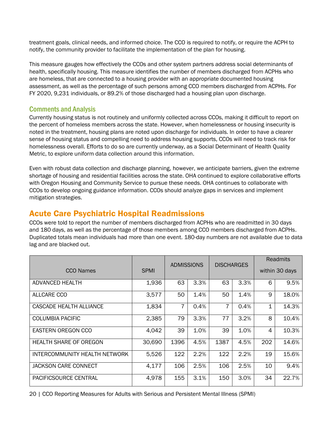treatment goals, clinical needs, and informed choice. The CCO is required to notify, or require the ACPH to notify, the community provider to facilitate the implementation of the plan for housing.

This measure gauges how effectively the CCOs and other system partners address social determinants of health, specifically housing. This measure identifies the number of members discharged from ACPHs who are homeless, that are connected to a housing provider with an appropriate documented housing assessment, as well as the percentage of such persons among CCO members discharged from ACPHs. For FY 2020, 9,231 individuals, or 89.2% of those discharged had a housing plan upon discharge.

## Comments and Analysis

Currently housing status is not routinely and uniformly collected across CCOs, making it difficult to report on the percent of homeless members across the state. However, when homelessness or housing insecurity is noted in the treatment, housing plans are noted upon discharge for individuals. In order to have a clearer sense of housing status and compelling need to address housing supports, CCOs will need to track risk for homelessness overall. Efforts to do so are currently underway, as a Social Determinant of Health Quality Metric, to explore uniform data collection around this information.

Even with robust data collection and discharge planning, however, we anticipate barriers, given the extreme shortage of housing and residential facilities across the state. OHA continued to explore collaborative efforts with Oregon Housing and Community Service to pursue these needs. OHA continues to collaborate with CCOs to develop ongoing guidance information. CCOs should analyze gaps in services and implement mitigation strategies.

# <span id="page-19-0"></span>Acute Care Psychiatric Hospital Readmissions

CCOs were told to report the number of members discharged from ACPHs who are readmitted in 30 days and 180 days, as well as the percentage of those members among CCO members discharged from ACPHs. Duplicated totals mean individuals had more than one event. 180-day numbers are not available due to data lag and are blacked out.

| CCO Names                     | <b>SPMI</b> | <b>ADMISSIONS</b> |      | <b>DISCHARGES</b> |      |     | Readmits<br>within 30 days |
|-------------------------------|-------------|-------------------|------|-------------------|------|-----|----------------------------|
|                               |             |                   |      |                   |      |     |                            |
| ADVANCED HEALTH               | 1,936       | 63                | 3.3% | 63                | 3.3% | 6   | 9.5%                       |
| ALLCARE CCO                   | 3,577       | 50                | 1.4% | 50                | 1.4% | 9   | 18.0%                      |
| CASCADE HEALTH ALLIANCE       | 1,834       | 7                 | 0.4% | $\overline{7}$    | 0.4% | 1   | 14.3%                      |
| <b>COLUMBIA PACIFIC</b>       | 2,385       | 79                | 3.3% | 77                | 3.2% | 8   | 10.4%                      |
| EASTERN OREGON CCO            | 4,042       | 39                | 1.0% | 39                | 1.0% | 4   | 10.3%                      |
| <b>HEALTH SHARE OF OREGON</b> | 30,690      | 1396              | 4.5% | 1387              | 4.5% | 202 | 14.6%                      |
| INTERCOMMUNITY HEALTH NETWORK | 5,526       | 122               | 2.2% | 122               | 2.2% | 19  | 15.6%                      |
| JACKSON CARE CONNECT          | 4,177       | 106               | 2.5% | 106               | 2.5% | 10  | 9.4%                       |
| <b>PACIFICSOURCE CENTRAL</b>  | 4,978       | 155               | 3.1% | 150               | 3.0% | 34  | 22.7%                      |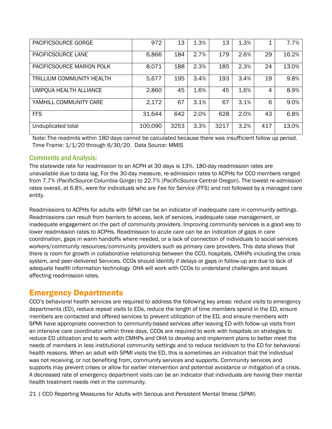| <b>PACIFICSOURCE GORGE</b>       | 972     | 13   | 1.3% | 13   | 1.3% | 1   | 7.7%  |
|----------------------------------|---------|------|------|------|------|-----|-------|
| <b>PACIFICSOURCE LANE</b>        | 6,866   | 184  | 2.7% | 179  | 2.6% | 29  | 16.2% |
| PACIFICSOURCE MARION POLK        | 8,071   | 188  | 2.3% | 185  | 2.3% | 24  | 13.0% |
| <b>TRILLIUM COMMUNITY HEALTH</b> | 5,677   | 195  | 3.4% | 193  | 3.4% | 19  | 9.8%  |
| UMPQUA HEALTH ALLIANCE           | 2,860   | 45   | 1.6% | 45   | 1.6% | 4   | 8.9%  |
| YAMHILL COMMUNITY CARE           | 2,172   | 67   | 3.1% | 67   | 3.1% | 6   | 9.0%  |
| <b>FFS</b>                       | 31,644  | 642  | 2.0% | 628  | 2.0% | 43  | 6.8%  |
| Unduplicated total               | 100,090 | 3253 | 3.3% | 3217 | 3.2% | 417 | 13.0% |

Note: The readmits within 180 days cannot be calculated because there was insufficient follow up period. Time Frame: 1/1/20 through 6/30/20. Data Source: MMIS

#### Comments and Analysis:

The statewide rate for readmission to an ACPH at 30 days is 13%. 180-day readmission rates are unavailable due to data lag. For the 30-day measure, re-admission rates to ACPHs for CCO members ranged from 7.7% (PacificSource Columbia Gorge) to 22.7% (PacificSource Central Oregon). The lowest re-admission rates overall, at 6.8%, were for individuals who are Fee for Service (FFS) and not followed by a managed care entity.

Readmissions to ACPHs for adults with SPMI can be an indicator of inadequate care in community settings. Readmissions can result from barriers to access, lack of services, inadequate case management, or inadequate engagement on the part of community providers. Improving community services is a good way to lower readmission rates to ACPHs. Readmission to acute care can be an indication of gaps in care coordination, gaps in warm handoffs where needed, or a lack of connection of individuals to social services workers/community resources/community providers such as primary care providers. This data shows that there is room for growth in collaborative relationship between the CCO, hospitals, CMHPs including the crisis system, and peer-delivered Services. CCOs should identify if delays or gaps in follow-up are due to lack of adequate health information technology. OHA will work with CCOs to understand challenges and issues affecting readmission rates.

# <span id="page-20-0"></span>Emergency Departments

CCO's behavioral health services are required to address the following key areas: reduce visits to emergency departments (ED), reduce repeat visits to EDs, reduce the length of time members spend in the ED, ensure members are contacted and offered services to prevent utilization of the ED, and ensure members with SPMI have appropriate connection to community-based services after leaving ED with follow-up visits from an intensive care coordinator within three days. CCOs are required to work with hospitals on strategies to reduce ED utilization and to work with CMHPs and OHA to develop and implement plans to better meet the needs of members in less institutional community settings and to reduce recidivism to the ED for behavioral health reasons. When an adult with SPMI visits the ED, this is sometimes an indication that the individual was not receiving, or not benefiting from, community services and supports. Community services and supports may prevent crises or allow for earlier intervention and potential avoidance or mitigation of a crisis. A decreased rate of emergency department visits can be an indicator that individuals are having their mental health treatment needs met in the community.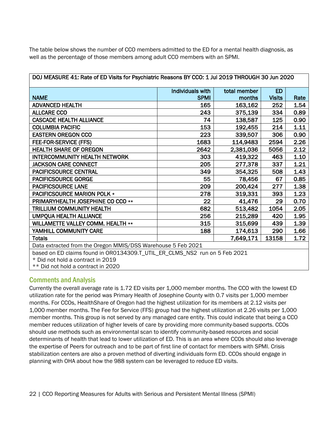The table below shows the number of CCO members admitted to the ED for a mental health diagnosis, as well as the percentage of those members among adult CCO members with an SPMI.

| DOJ MEASURE 41: Rate of ED Visits for Psychiatric Reasons BY CCO: 1 Jul 2019 THROUGH 30 Jun 2020                |                  |              |               |      |
|-----------------------------------------------------------------------------------------------------------------|------------------|--------------|---------------|------|
|                                                                                                                 | Individuals with | total member | <b>ED</b>     |      |
| <b>NAME</b>                                                                                                     | <b>SPMI</b>      | months       | <b>Visits</b> | Rate |
| <b>ADVANCED HEALTH</b>                                                                                          | 165              | 163,162      | 252           | 1.54 |
| <b>ALLCARE CCO</b>                                                                                              | 243              | 375,139      | 334           | 0.89 |
| <b>CASCADE HEALTH ALLIANCE</b>                                                                                  | 74               | 138,587      | 125           | 0.90 |
| <b>COLUMBIA PACIFIC</b>                                                                                         | 153              | 192,455      | 214           | 1.11 |
| <b>EASTERN OREGON CCO</b>                                                                                       | 223              | 339,507      | 306           | 0.90 |
| <b>FEE-FOR-SERVICE (FFS)</b>                                                                                    | 1683             | 114,9483     | 2594          | 2.26 |
| <b>HEALTH SHARE OF OREGON</b>                                                                                   | 2642             | 2,381,036    | 5056          | 2.12 |
| <b>INTERCOMMUNITY HEALTH NETWORK</b>                                                                            | 303              | 419,322      | 463           | 1.10 |
| <b>JACKSON CARE CONNECT</b>                                                                                     | 205              | 277,378      | 337           | 1.21 |
| <b>PACIFICSOURCE CENTRAL</b>                                                                                    | 349              | 354,325      | 508           | 1.43 |
| <b>PACIFICSOURCE GORGE</b>                                                                                      | 55               | 78,456       | 67            | 0.85 |
| <b>PACIFICSOURCE LANE</b>                                                                                       | 209              | 200,424      | 277           | 1.38 |
| <b>PACIFICSOURCE MARION POLK *</b>                                                                              | 278              | 319,331      | 393           | 1.23 |
| PRIMARYHEALTH JOSEPHINE CO CCO **                                                                               | 22               | 41,476       | 29            | 0.70 |
| TRILLIUM COMMUNITY HEALTH                                                                                       | 682              | 513,482      | 1054          | 2.05 |
| <b>UMPQUA HEALTH ALLIANCE</b>                                                                                   | 256              | 215,289      | 420           | 1.95 |
| WILLAMETTE VALLEY COMM. HEALTH **                                                                               | 315              | 315,699      | 439           | 1.39 |
| YAMHILL COMMUNITY CARE                                                                                          | 188              | 174,613      | 290           | 1.66 |
| Totals                                                                                                          |                  | 7,649,171    | 13158         | 1.72 |
| Data extracted from the Oregon MMIS/DSS Warehouse 5 Feb 2021                                                    |                  |              |               |      |
| based on ED claims found in OR0134309.T_UTIL_ER_CLMS_NS2 run on 5 Feb 2021<br>* Did not hold a contract in 2019 |                  |              |               |      |

\*\* Did not hold a contract in 2020

## Comments and Analysis

Currently the overall average rate is 1.72 ED visits per 1,000 member months. The CCO with the lowest ED utilization rate for the period was Primary Health of Josephine County with 0.7 visits per 1,000 member months. For CCOs, HealthShare of Oregon had the highest utilization for its members at 2.12 visits per 1,000 member months. The Fee for Service (FFS) group had the highest utilization at 2.26 visits per 1,000 member months. This group is not served by any managed care entity. This could indicate that being a CCO member reduces utilization of higher levels of care by providing more community-based supports. CCOs should use methods such as environmental scan to identify community-based resources and social determinants of health that lead to lower utilization of ED. This is an area where CCOs should also leverage the expertise of Peers for outreach and to be part of first line of contact for members with SPMI. Crisis stabilization centers are also a proven method of diverting individuals form ED. CCOs should engage in planning with OHA about how the 988 system can be leveraged to reduce ED visits.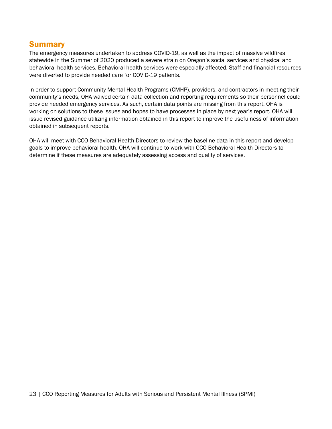# <span id="page-22-0"></span>**Summary**

The emergency measures undertaken to address COVID-19, as well as the impact of massive wildfires statewide in the Summer of 2020 produced a severe strain on Oregon's social services and physical and behavioral health services. Behavioral health services were especially affected. Staff and financial resources were diverted to provide needed care for COVID-19 patients.

In order to support Community Mental Health Programs (CMHP), providers, and contractors in meeting their community's needs, OHA waived certain data collection and reporting requirements so their personnel could provide needed emergency services. As such, certain data points are missing from this report. OHA is working on solutions to these issues and hopes to have processes in place by next year's report. OHA will issue revised guidance utilizing information obtained in this report to improve the usefulness of information obtained in subsequent reports.

OHA will meet with CCO Behavioral Health Directors to review the baseline data in this report and develop goals to improve behavioral health. OHA will continue to work with CCO Behavioral Health Directors to determine if these measures are adequately assessing access and quality of services.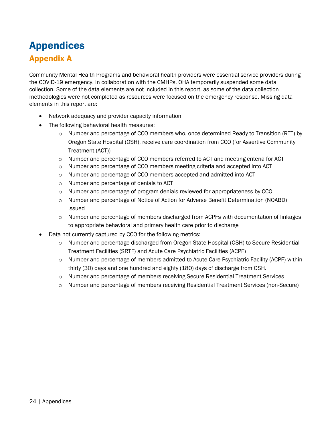# <span id="page-23-1"></span><span id="page-23-0"></span>Appendices Appendix A

Community Mental Health Programs and behavioral health providers were essential service providers during the COVID-19 emergency. In collaboration with the CMHPs, OHA temporarily suspended some data collection. Some of the data elements are not included in this report, as some of the data collection methodologies were not completed as resources were focused on the emergency response. Missing data elements in this report are:

- Network adequacy and provider capacity information
- The following behavioral health measures:
	- o Number and percentage of CCO members who, once determined Ready to Transition (RTT) by Oregon State Hospital (OSH), receive care coordination from CCO (for Assertive Community Treatment (ACT))
	- o Number and percentage of CCO members referred to ACT and meeting criteria for ACT
	- o Number and percentage of CCO members meeting criteria and accepted into ACT
	- o Number and percentage of CCO members accepted and admitted into ACT
	- o Number and percentage of denials to ACT
	- o Number and percentage of program denials reviewed for appropriateness by CCO
	- o Number and percentage of Notice of Action for Adverse Benefit Determination (NOABD) issued
	- $\circ$  Number and percentage of members discharged from ACPFs with documentation of linkages to appropriate behavioral and primary health care prior to discharge
- Data not currently captured by CCO for the following metrics:
	- o Number and percentage discharged from Oregon State Hospital (OSH) to Secure Residential Treatment Facilities (SRTF) and Acute Care Psychiatric Facilities (ACPF)
	- o Number and percentage of members admitted to Acute Care Psychiatric Facility (ACPF) within thirty (30) days and one hundred and eighty (180) days of discharge from OSH.
	- o Number and percentage of members receiving Secure Residential Treatment Services
	- o Number and percentage of members receiving Residential Treatment Services (non-Secure)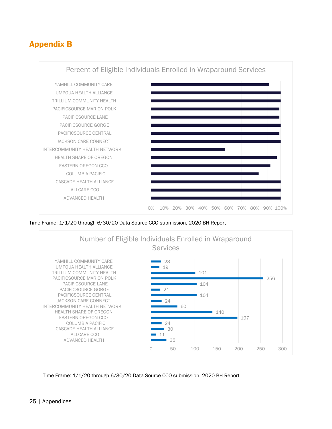# <span id="page-24-0"></span>Appendix B



Time Frame: 1/1/20 through 6/30/20 Data Source CCO submission, 2020 BH Report



Time Frame: 1/1/20 through 6/30/20 Data Source CCO submission, 2020 BH Report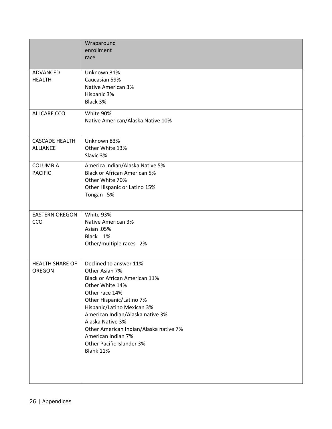|                                          | Wraparound<br>enrollment<br>race                                                                                                                                                                                                                                                                                                                  |
|------------------------------------------|---------------------------------------------------------------------------------------------------------------------------------------------------------------------------------------------------------------------------------------------------------------------------------------------------------------------------------------------------|
| ADVANCED<br><b>HEALTH</b>                | Unknown 31%<br>Caucasian 59%<br><b>Native American 3%</b><br>Hispanic 3%<br>Black 3%                                                                                                                                                                                                                                                              |
| ALLCARE CCO                              | White 90%<br>Native American/Alaska Native 10%                                                                                                                                                                                                                                                                                                    |
| <b>CASCADE HEALTH</b><br><b>ALLIANCE</b> | Unknown 83%<br>Other White 13%<br>Slavic 3%                                                                                                                                                                                                                                                                                                       |
| <b>COLUMBIA</b><br><b>PACIFIC</b>        | America Indian/Alaska Native 5%<br><b>Black or African American 5%</b><br>Other White 70%<br>Other Hispanic or Latino 15%<br>Tongan 5%                                                                                                                                                                                                            |
| <b>EASTERN OREGON</b><br>CCO             | White 93%<br><b>Native American 3%</b><br>Asian .05%<br>Black 1%<br>Other/multiple races 2%                                                                                                                                                                                                                                                       |
| <b>HEALTH SHARE OF</b><br>OREGON         | Declined to answer 11%<br>Other Asian 7%<br>Black or African American 11%<br>Other White 14%<br>Other race 14%<br>Other Hispanic/Latino 7%<br>Hispanic/Latino Mexican 3%<br>American Indian/Alaska native 3%<br>Alaska Native 3%<br>Other American Indian/Alaska native 7%<br>American Indian 7%<br>Other Pacific Islander 3%<br><b>Blank 11%</b> |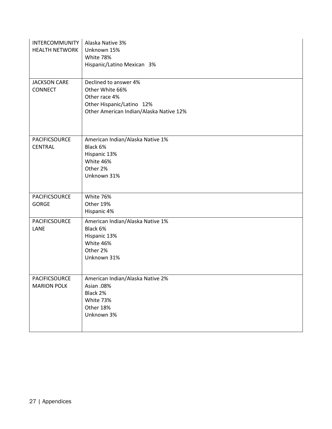| INTERCOMMUNITY<br><b>HEALTH NETWORK</b> | Alaska Native 3%<br>Unknown 15%<br>White 78%<br>Hispanic/Latino Mexican 3%                                                        |
|-----------------------------------------|-----------------------------------------------------------------------------------------------------------------------------------|
| <b>JACKSON CARE</b><br>CONNECT          | Declined to answer 4%<br>Other White 66%<br>Other race 4%<br>Other Hispanic/Latino 12%<br>Other American Indian/Alaska Native 12% |
| PACIFICSOURCE<br><b>CENTRAL</b>         | American Indian/Alaska Native 1%<br>Black 6%<br>Hispanic 13%<br>White 46%<br>Other 2%<br>Unknown 31%                              |
| PACIFICSOURCE<br><b>GORGE</b>           | White 76%<br>Other 19%<br>Hispanic 4%                                                                                             |
| PACIFICSOURCE<br>LANE                   | American Indian/Alaska Native 1%<br>Black 6%<br>Hispanic 13%<br>White 46%<br>Other 2%<br>Unknown 31%                              |
| PACIFICSOURCE<br><b>MARION POLK</b>     | American Indian/Alaska Native 2%<br>Asian .08%<br>Black 2%<br>White 73%<br>Other 18%<br>Unknown 3%                                |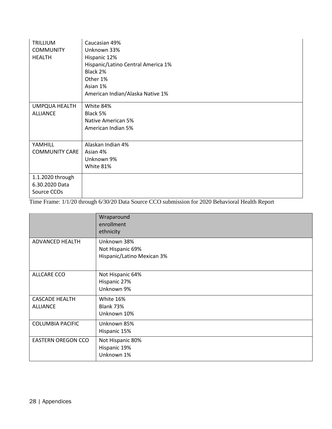| TRILLIUM<br><b>COMMUNITY</b><br><b>HEALTH</b>     | Caucasian 49%<br>Unknown 33%<br>Hispanic 12%<br>Hispanic/Latino Central America 1%<br>Black 2%<br>Other 1%<br>Asian 1%<br>American Indian/Alaska Native 1% |
|---------------------------------------------------|------------------------------------------------------------------------------------------------------------------------------------------------------------|
| <b>UMPQUA HEALTH</b><br><b>ALLIANCE</b>           | White 84%<br>Black 5%<br>Native American 5%<br>American Indian 5%                                                                                          |
| YAMHILL<br><b>COMMUNITY CARE</b>                  | Alaskan Indian 4%<br>Asian 4%<br>Unknown 9%<br>White 81%                                                                                                   |
| 1.1.2020 through<br>6.30.2020 Data<br>Source CCOs |                                                                                                                                                            |

Time Frame: 1/1/20 through 6/30/20 Data Source CCO submission for 2020 Behavioral Health Report

|                                          | Wraparound<br>enrollment<br>ethnicity                         |
|------------------------------------------|---------------------------------------------------------------|
| ADVANCED HEALTH                          | Unknown 38%<br>Not Hispanic 69%<br>Hispanic/Latino Mexican 3% |
| ALLCARE CCO                              | Not Hispanic 64%<br>Hispanic 27%<br>Unknown 9%                |
| <b>CASCADE HEALTH</b><br><b>ALLIANCE</b> | White 16%<br><b>Blank 73%</b><br>Unknown 10%                  |
| <b>COLUMBIA PACIFIC</b>                  | Unknown 85%<br>Hispanic 15%                                   |
| <b>EASTERN OREGON CCO</b>                | Not Hispanic 80%<br>Hispanic 19%<br>Unknown 1%                |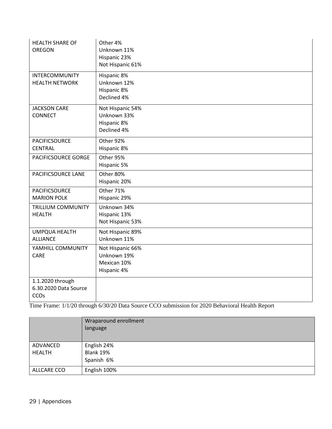| <b>HEALTH SHARE OF</b> | Other 4%         |
|------------------------|------------------|
| <b>OREGON</b>          | Unknown 11%      |
|                        | Hispanic 23%     |
|                        | Not Hispanic 61% |
| <b>INTERCOMMUNITY</b>  | Hispanic 8%      |
| <b>HEALTH NETWORK</b>  | Unknown 12%      |
|                        | Hispanic 8%      |
|                        | Declined 4%      |
| <b>JACKSON CARE</b>    | Not Hispanic 54% |
| <b>CONNECT</b>         | Unknown 33%      |
|                        | Hispanic 8%      |
|                        | Declined 4%      |
| PACIFICSOURCE          | Other 92%        |
| <b>CENTRAL</b>         | Hispanic 8%      |
| PACIFICSOURCE GORGE    | Other 95%        |
|                        | Hispanic 5%      |
| PACIFICSOURCE LANE     | Other 80%        |
|                        | Hispanic 20%     |
| <b>PACIFICSOURCE</b>   | Other 71%        |
| <b>MARION POLK</b>     | Hispanic 29%     |
| TRILLIUM COMMUNITY     | Unknown 34%      |
| <b>HEALTH</b>          | Hispanic 13%     |
|                        | Not Hispanic 53% |
| <b>UMPQUA HEALTH</b>   | Not Hispanic 89% |
| <b>ALLIANCE</b>        | Unknown 11%      |
| YAMHILL COMMUNITY      | Not Hispanic 66% |
| CARE                   | Unknown 19%      |
|                        | Mexican 10%      |
|                        | Hispanic 4%      |
| 1.1.2020 through       |                  |
| 6.30.2020 Data Source  |                  |
| CCOs                   |                  |

Time Frame: 1/1/20 through 6/30/20 Data Source CCO submission for 2020 Behavioral Health Report

|                           | Wraparound enrollment<br>language      |
|---------------------------|----------------------------------------|
| ADVANCED<br><b>HEALTH</b> | English 24%<br>Blank 19%<br>Spanish 6% |
| ALLCARE CCO               | English 100%                           |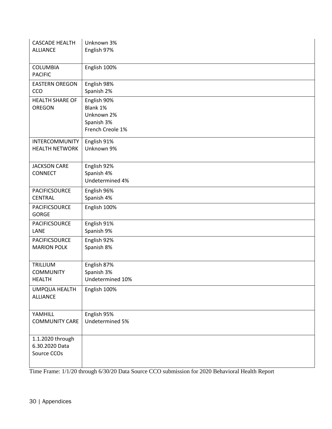| <b>CASCADE HEALTH</b>             | Unknown 3%             |
|-----------------------------------|------------------------|
| <b>ALLIANCE</b>                   | English 97%            |
|                                   |                        |
| <b>COLUMBIA</b><br><b>PACIFIC</b> | English 100%           |
| <b>EASTERN OREGON</b>             | English 98%            |
| CCO                               | Spanish 2%             |
| <b>HEALTH SHARE OF</b>            | English 90%            |
| <b>OREGON</b>                     | Blank 1%<br>Unknown 2% |
|                                   | Spanish 3%             |
|                                   | French Creole 1%       |
| INTERCOMMUNITY                    | English 91%            |
| <b>HEALTH NETWORK</b>             | Unknown 9%             |
|                                   |                        |
| <b>JACKSON CARE</b>               | English 92%            |
| CONNECT                           | Spanish 4%             |
|                                   | Undetermined 4%        |
| PACIFICSOURCE                     | English 96%            |
| <b>CENTRAL</b>                    | Spanish 4%             |
| PACIFICSOURCE<br><b>GORGE</b>     | English 100%           |
| PACIFICSOURCE                     | English 91%            |
| LANE                              | Spanish 9%             |
| PACIFICSOURCE                     | English 92%            |
| <b>MARION POLK</b>                | Spanish 8%             |
| TRILLIUM                          | English 87%            |
| <b>COMMUNITY</b>                  | Spanish 3%             |
| <b>HEALTH</b>                     | Undetermined 10%       |
| UMPQUA HEALTH                     | English 100%           |
| <b>ALLIANCE</b>                   |                        |
|                                   |                        |
| YAMHILL                           | English 95%            |
| <b>COMMUNITY CARE</b>             | Undetermined 5%        |
| 1.1.2020 through                  |                        |
| 6.30.2020 Data                    |                        |
| Source CCOs                       |                        |
|                                   |                        |

Time Frame: 1/1/20 through 6/30/20 Data Source CCO submission for 2020 Behavioral Health Report